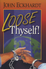# **JOHN ECKHARDT**

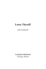# **Loose Thyself!**

*John Eckhardt*

**Crusaders Ministries** Chicago, Illinois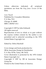Unless otherwise indicated, all scriptural quotations are from the *King James Version* of the Bible.

*Loose Thyself* Published by: Crusaders Ministries P. O. Box 7211 Chicago, IL 60680 ISBN 1-883927-10-2

Copyright © 1997 by John Eckhardt All rights reserved.

Reproduction of text in whole or in part without the express written consent by the author is not permitted and is unlawful according to the 1976 United States Copyright Act.

Edited by: Debra Marshall

Cover design and book production by:

DB & Associates Design & Distribution

P. O. Box 52756, Tulsa, OK 74152

Cover illustration is protected by the 1976 United States Copyright Act.

Copyright © 1997 by DB & Associates Design Group Inc.

Printed in the United States of America.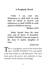# <sup>1</sup>**A Prophetic Word**

**Verily I say unto you, Whatsoever ye shall bind on earth shall be bound in heaven: and whatsoever ye shall LOOSE in earth shall be LOOSED in heaven.**

**Matthew 18:18**

**Shake thyself from the dust; arise, and sit down, O Jerusalem: LOOSE THYSELF from the bands of thy neck, O captive daughter of Zion.**

#### **Isaiah 52:2**

his is a prophetic word to the church that This is a prophetic word to the church that<br>says, "LOOSE THYSELF!" It is a powerful verse that relates to *self-deliverance.* We have been given the power and authority to lose ourselves from all types of bondage.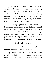Synonyms for the word *loose* include: to disjoin, to divorce, to separate, asunder, sever, unhitch, disconnect, detach, unseat, unbind, unchain, unfetter, unloose, free, release, liberate, break up, break in pieces, smash, shatter, splinter, demolish, cleave, force apart. It also means to forgive or pardon.

"Zion" is a prophetic word and symbol for the church. Isaiah prophesied that Zion would be a "captive daughter." This is so true of the condition of the Church today. Even though many are saved and have received the promise of the Spirit, there are still many bondages that remain in the lives of believers.

# **Self-Deliverance**

The question is often asked of me, "Can a person deliver himself of demons?"

My answer is "Yes." It is also my conviction that a person cannot really keep himself free of demons until he is walking in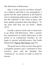this dimension of deliverance.

*How is it that a person can deliver himself?* As a believer (and that is our assumption), a person has the same authority as the believer who is ministering deliverance to another. He has the authority in the name of Jesus, and Jesus plainly promised them that believe: *"In my name shall they cast out devils."* (Mark 16:17).

Usually a person needs only to learn how to go about self-deliverance. After a person has experienced an initial deliverance at the hands of an experienced minister, he can begin to practice self-deliverance. (See Frank Hammond's Pigs In The Parlor, page 57).

The good news is that we have been given a prophetic promise and a command to *loose ourselves.* Jesus told his disciples that "whatsoever" we *loosed* on earth is *loosed* in heaven.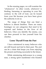In the ensuing pages, we will examine the "whatsoever". In other words, *whatsoever* is binding, harassing or operating in your life, contrary to the will of God, can be loosed from your life because you have been given the authority to do so.

The range of things that can bind a believer is almost limitless. There are many bondages we can categorize that need to be exposed and broken in the lives of all believers. Once you identify the enemy, you can then proceed to free yourself from his clutches.

# **Loose Thyself From the Past**

I have ministered to many believers who are still bound and tied to their past. The *past* can be a chain that keeps you from enjoying the present and being successful in the future.

While ministering deliverance to a young man, a strong spirit manifested who boasted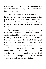that he would not depart. I commanded the spirit to identify himself, and he replied that his name was "Past."

The spirit proceeded to explain that it was his job to keep the young man bound to his past so that he could not be successful in his Christian walk. The young man had been through a divorce, and his past continued to haunt him.

This encounter helped to give me a revelation of the fact that there are numerous spirits assigned to people to keep them bound to the past that have left scars and wounds that have not completely healed. Many of these wounds have been infected and have become the dwelling places of unclean spirits.

People not only need to be loosed from demons but also from other people. Ungodly soul ties are avenues through which spirits of control and manipulation utilize when working upon their unwary victims.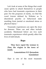Let's look at some of the things that could cause spirits to attach themselves to people who have had traumatic experiences in their past. For the purposes of clarity, we find the word *trauma* defined by Webster as "a disordered psychic or behavioral state resulting from mental or emotional stress or physical injury."

Traumatic experiences can open the door for demons. These can and often include accidents. Mentioned below are two such traumatic experiences which greatly affect the lives of individuals.

## **Rape**

**They have raped the woman in Zion, the virgins in the town of Judah.**

# **Lamentations 5:11 (Jerusalem translation)**

*Rape* is one of the most traumatic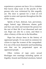experiences a person can have. It is a violation that leaves deep scars in the psyche of the person who was victimized by this ungodly act. The door is opened for a host of evil spirits to enter and operate throughout the life of the victim.

Spirits of hurt, distrust, lust, perversion, anger, hatred, rage, bitterness, shame, guilt and fear can enter and torment the person for the rest of their life if not discerned and cast out. Rape can also be a curse, and there is often a history of this sin in the bloodline.

Rape has always been in the history of oppressed people. It was (and is) common for victors to rape the women of the vanquished. It is one of the most shameful and humiliating acts that can be perpetrated upon an oppressed people.

Often victims of rape carry sexual blockages into marriage including spirits of frigidity, bound and blocked emotions, hatred

11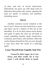of men, and fear of sexual intercourse. Individuals can grow up with deep roots of bitterness that poison the system, opening the door for spirits of sickness and infirmity, including cancer.

# **Incest**

Another common sexual violation is the sin of *incest.* Incest can also result from a curse and there can be a history of this sin in the bloodline. It is an act that causes much shame and guilt. It opens the door for all kinds of curses including insanity death, destruction, confusion, perversion, and sickness. Often the victim blames himself for this act even though it may have been the result of a seducing spirit.

# **Loose Thyself from Ungodly Soul Ties**

**Cursed be their anger, for it was fierce; and their wrath, for it was cruel: I will divide them in Jacob,**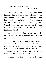#### **and scatter them in Israel.**

#### **Genesis 49:7**

The Lord separated Simeon and Levi because they exerted a bad influence upon one another. A *soul tie* is a bond between two individuals; the souls (minds, wills, emotions) of individuals knit or joined together. Ungodly soul ties can be formed through fornication (Genesis 34:1-3), and witchcraft (Galatians 3:1,4:17).

As mentioned earlier, people not only need to be loosed from demons but also from other people.

*Father, in Jesus' name, I loose myself from all relationships that are not ordained of God. All relationships that are not of the Spirit but of the flesh. All relationships based on control, domination or manipulation. All relationships based on lust and deception. Amen.*

Ungodly soul ties are avenues through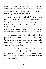which spirits of control, domination, witchcraft and manipulation operate. If you are linked with the wrong people you will be in bondage, often unknowingly.

It is never the will of God for one individual to control another. True freedom is being delivered from any controlling power that hinders you from fulfilling the will of God. Often those under control are unaware that they are being controlled. This is why many times the control is so difficult to break.

An ungodly soul tie will result in the presence of an evil influence in your life. While good soul ties *help* you in your walk with God, ungodly soul ties *hinder* you in your walk with the Lord.

Ungodly soul ties in the Bible include: 1) Ahab and Jezebel (1 Kings 18); 2) Solomon and his wives. They turned his heart away from the Lord. (1 Kings 11:1-4); and 3) Levi and Simeon (Genesis 49:5-7).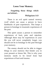#### **Loose Your Memory**

# **Forgetting those things which are behind...**

#### **Philippians 3:13**

There is an evil spirit named *memory recall* which can cause a person to have flashbacks of past experiences. This keeps a person in bondage to traumatic experiences of the past.

This spirit causes a person to remember experiences of hurt, pain and rejection. Although there may be experiences in your life you will never completely forget, you should not be in bondage to the past through your memory.

The enemy should not be able to trigger things in your memory that hinder you in your present or future life. This is why your memory needs to be *loosed* from bad experiences of hurt and trauma.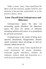*Father, in Jesus' name, I loose myself from the effects of all bad memories, painful memories and memories of the past that would hinder me in the present or future. Amen.*

# **Loose Thyself from Unforgiveness and Bitterness**

Unforgiveness opens the door for tormenting spirits (Matthew 18). Bitterness opens the door for spirits of infirmity including arthritis and cancer. It is symbolized by *gall* and *wormwood.*

Unforgiveness is the result of being hurt, rejected, abandoned, disappointed, abused, raped, molested, taken advantage of, lied on, cheated, talked about, etc.

*Father, in Jesus' name, I loose myself from all occult involvement, all sorcery, divination, witchcraft, psychic inheritance, rebellion, all confusion, sickness, death and destruction as a result of occult involvement. Amen.*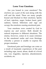## **Loose Your Emotions**

Are you loosed in your emotions? The *emotions* are a part of the soul along with the will and the mind. There are many people bound and blocked in their emotions. Spirits of hurt, rejection, anger, broken heart, grief, sadness, hatred, bitterness and rage can occupy the emotions causing emotional pain.

Your emotions were created by God to express joy and sorrow. Both should be natural responses to different situations. The enemy, however, comes in to cause extremes in the emotional realm and even blockage whereby a person is unable to express the proper emotions.

Emotional pain and bondage can come as a result of traumatic experiences of the past including rape, incest, abuse, death of a loved one, war, tragedies, rejection, abandonment, accidents, etc.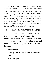*In the name of the Lord Jesus Christ, by the authority given to me to bind and loose, I loose my emotions from every evil spirit that has come in as a result of experiences of the past. I loose myself from all hurt, deep hurt, pain, sadness, grief, anger, hatred, rage, bitterness, fear, and bound and blocked emotions. I command these spirits to come out, and I decree freedom to my emotions in the name of the Lord Jesus Christ. Amen.*

# **Loose Thyself From Occult Bondage**

The word *occult* means "hidden." Involvement in the occult opens the door for many demons including spirits of depression, suicide, death, destruction, sickness, mental illness, addiction, lust, etc. Occultic practices include:

—Ouija Board

—Drugs (fr. Greek word *pharmakeia* sorcery)

—Horoscopes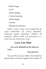—Black magic

 $-ESP$ 

—Palm reading

—Tea leaf reading

—White Magic

—Psychic

—Readers & Advisers

*Father, in Jesus' name, I loose myself from all occult involvement, all sorcery, divination, witchcraft, psychic inheritance, rebellion, all confusion, sickness, death and destruction as a result of occult involvement. Amen.*

# **Loose Your Mind**

## **For as he thinketh in his heart so is he.**

#### **Proverbs 23:7**

You are the way you think. The mind has always been a favorite target of the enemy. If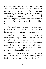the devil can control your mind, he can control your life. Spirits that attack the mind include, mind control, confusion, mental breakdown, mind binding and mind blinding spirits, insanity, madness, mania, fantasy, evil thinking, migraine, mental pain and negative thinking. They are all what I call "stinking thinking."

The good news is that you can *loose yourself* (including your mind) from all evil influences that operate through your mind.

Mind control is a common spirit that has been identified by the name "Octopus". Mind control spirits can resemble an octopus or squid with tentacles that grasp and control the mind. Deliverance from mind control releases a person from mental pressure, mental pain, confusion and mental torment.

Mind control spirits can enter through listening to ungodly music, reading occult books, pornography, false teaching, false

20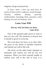religions, drugs and passivity.

*In Jesus' name, I loose my mind from all spirits of mind control, confusion, mental bondage, insanity, madness, fantasy, passivity, intellectualism, knowledge block, ignorance, mind binding, lust and evil thinking. Amen.*

## **Loose Your Will**

#### **Not my will, but thine, be done. Luke 22:42**

One of the greatest gifts given to man is that of a *free will.* The freedom to choose and to decide is given to everyone.

The Lord does not force us to obey Him. He gives us the choice to humble ourselves and submit our will to His will.

The devil, on the other hand, attempts to dominate and control our will for his evil purposes. When you find yourself unable to submit your will to the will of God, it is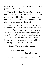because your will is being controlled by the powers of darkness.

Your will needs to be *loosed* to follow the will of the Lord. Spirits that invade and control the will include stubbornness, selfwill, anti-submissiveness, rebellion, pride, disobedience, lust and witchcraft.

*Father, in Jesus' name, I loose my will from all control, domination and manipulation from Satan, his demons, and other people. I loose my will from all lust, rebellion, stubbornness, pride, self-will, selfishness and anti-submissiveness spirits that block and hinder my will. I break and loose myself from all chains around my will, and I submit my will to the will of God. Amen.*

# **Loose Your Sexual Character**

**Flee fornication...**

#### **1 Corinthians 6:18**

Lust is a spirit that is pervasive in our day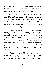and age. Sexual perversion includes incest, homosexuality, lesbianism, masturbation, pornography, fornication and adultery.

The sex drive is one of the strongest appetites in the human body. Satan desires to control and pervert it outside of the marital relationship in which it is blessed. Many believers struggle in this area with the companion spirits of guilt and condemnation.

Spirits of lust and perversion can operate in any part of the physical body including the genitals, hands, eyes, mouth, stomach, etc. Any part of the body given to sexual sin will be invaded and controlled by spirits of lust. (An example would be the eyes in viewing pornography, the hands in acts of masturbation, or the tongue through filthy conversation.)

*In the name of Jesus, I loose all members of my body including my mind, memory, eyes, ears, tongue, hands, feet, and my entire sexual*

23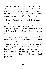*character, from all lust, perversion, sexual impurity, uncleanness, lasciviousness, promiscuity, pornography, fornication, homosexuality, fantasy, filthiness, burning passion, and uncontrollable sex drive. Amen.*

# **Loose Thyself from Evil Inheritance**

Weaknesses and tendencies can be inherited from the sins of the fathers. For example, a person born to alcoholic parents will have a higher chance of becoming an alcoholic.

Sicknesses and diseases can run in the bloodline which is why doctors will often check to see if there is a history of certain sicknesses in the family. Lust, perversion, witchcraft, pride, rebellion, divorce, alcohol, hatred, bitterness, idolatry, poverty, ignorance and sicknesses (including heart disease, cancer, sugar diabetes and high blood pressure).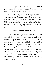*Familiar spirits* are demons familiar with a person and the family because often they have been in the family for generations.

*In the name of Jesus, I loose myself from all evil inheritance including inherited weaknesses, attitudes, thought patterns, sickness, disease, bitterness, prejudice, racism, witchcraft, lust, rebellion, poverty, ungodly lifestyles and strife. Amen.*

# **Loose Thyself from Fear**

Fear of rejection (works with rejection and self-rejection), fear of hurt, fear of authority (including pastors), fear of witchcraft, fear of career, fear of dying, fear of failure, fear of the future, fear of responsibility, fear of darkness, fear of being alone, fear of what people think of you, fear of what people say about you, fear of hell, fear of losing salvation (religious spirits), fear of demons and deliverance, fear of poverty, terror, fright, sudden fear, apprehension.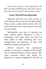*In the name of Jesus, I loose myself from all fears including childhood fears, fears from trauma, fears from the past, and all inherited fears. Amen.*

# **Loose Thyself from Rejection**

Rejection prevents one from giving or receiving love from God or from other people. There is also a spirit called *rejection from the womb* that enters the womb because the child was unwanted.

Self-rejection and fear of rejection are other related spirits. Rejection is also a doorkeeper. This spirit opens the door for other spirits to enter including fear, hurt, unforgiveness and bitterness. It links with rebellion causing schizophrenia.

Almost everyone has experienced rejection at one time or another in life. People can be rejected because of their gender, skin color, economic status, size, shape, etc. Rejection is a major stronghold in the lives of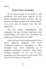many.

# **Loose Your Conscience**

To be *loosed* means to be forgiven and pardoned. You have been forgiven by the Father through the blood of Jesus. You are loosed from guilt, shame and condemnation. You must also be loosed from the law (legalism).

The law brings condemnation and judgment, but Jesus brings forgiveness and reconciliation. We loose our conscience by applying *the blood of Jesus,* by faith.

Satan uses guilt and condemnation to beat down believers. Believers who don't understand grace are struggling in their Christian lives, never measuring up to religious standards imposed upon them through legalism. To be free in your conscience is to have peace in your mind. The peace of God rules in your heart.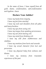*In the name of Jesus, I loose myself from all guilt, shame, condemnation, self-condemnation and legalism. Amen*

## **Declare Your Jubilee!**

*I loose my hands from iniquity.*

*I loose my feet from mischief.*

*I loose my neck and shoulders from all yokes and heavy burdens.*

*I loose my eyes from seeing evil.*

*I loose my tongue from speaking perverseness.*

*I loose my ears from hearing evil.*

*I loose my mind from thinking evil.*

*I loose my will from stubbornness and rebellion.*

*I loose my emotions from hurts and wounds.*

*I loose my sexual character from lust and perversion.*

*I loose my physical body from sickness and disease.*

*I loose my memory from traumatic experiences of the past.*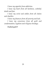*I loose my appetite from addiction.*

*I loose my heart from all hardness, unbelief, doubt and fear.*

*I loose my wrist and ankles from all chains and shackles.*

*I loose my finances from all poverty and lack.*

*I loose my conscience from all guilt and condemnation, legalism and religious bondage.*

Hallelujah!!!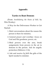# **Appendix**

# **Tactics to Rout Demons**

(From *Annihilating the Hosts of Hell,* by Win Worley)

A Way for the Deliverance Worker to Get Started:

- 1. Brief conversations about the reason the person is there for ministry.
- 2. General prayer and worship—focus on God and His goodness, power, etc.
- 3. Bind powers over the area, break assignments from powers in the air to demons in the person. Ask for angelic protection (Hebrews 1:14).
- 4. Ask and receive *by faith* the gifts of the Spirit needed to minister.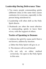# **Leadership During Deliverance Time**

- 1. Too many people commanding spirits (different ones) at the same time causes confusion for everyone, especially to the person being ministered to.
- 2. Leadership will often shift as the Holy Spirit directs.
- 3. Husbands are often the most effective in commanding spirits to leave their wives, with the support of others.

# **Tactics of Speaking to Demons**

- 1. Address the spirit by name and if that is not known, address by function.
	- a. Either the Holy Spirit will give it, or
	- b. The demon will reveal himself.
	- c. Do not rely on either method *exclusively*—be open to the Holy Spirit in this area.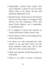- 2. Repeatedly remind these spirits that your authority is given to you by Jesus Christ, Who is far above all rule and authority (Ephesians 1:21).
- 3. Remind them of their fate in Revelation 20:10 and other places in Scripture (Job 30:3-8). Use the statement ("The Lord Jesus Christ rebukes you.") repeatedly, as a battering ram.
- 4. It is helpful to harass the demons to confess that Jesus Christ is their Lord.
- 5. Ruler demons often can be badgered for more information.
- 6. At times you will command the ruler demon to go and then clean out the lesser demons under him, and if that does not work, reverse the tactics.
- 7. Bind and separate interfering spirits as God leads.
- 8. There is no need to shout at demons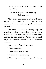since the battle is not in the flesh, but in the Spirit.

# **What to Expect in Receiving Deliverance**

While many deliverances involve obvious physical manifestations, not all react in this manner. Some spirits leave quietly and nonviolently.

You may not have a strong physical reaction when receiving deliverance, therefore, don't be disappointed if you don't receive in this manner. What you should expect is a release. You know there is a release when

- 1. Oppressive force disappears;
- 2. Heaviness lifts;
- 3. Uneasiness goes away;
- 4. Burden or load lightens;
- 5. There is an inner sense of liberty,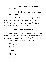freedom, and divine satisfaction or contentment;

6. The joy of the Lord comes, and you are able to rejoice!

The result of deliverance is *righteousness, peace,* and *joy in the Holy Ghost* (Romans 14:17). When devils are cast out, *the Kingdom of God has come* (Matthew 12:28).

# **Demon Manifestations**

When evil spirits depart, you can normally expect some sort of manifestation through the mouth or nose. Listed below are some of the common manifestations:

- 1. Coughing
- 2. Drooling
- 3. Vomiting
- 4. Spitting
- 5. Foaming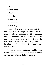6. Crying

7. Screaming

8. Sighing

9. Roaring

10. Belching

11. Yawning

12. Exhaling

Again, when demons are cast out, they normally leave through the mouth or the nose. Spirits are associated with breathing. Both the Hebrews and the Greeks had only one word for *spirit* and *breath.* In the Greek, that word is *pneuma.* The Holy Spirit is breathed *in* (John 20:22). Evil spirits are breathed *out.*

Sometimes people shake or tremble when they receive deliverance. Their body, in whole or part, may actually shake or tremble.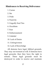# **Hindrances to Receiving Deliverance**

- 1. Curses
- 2. Sin
- 3. Pride
- 4. Passivity
- 5. Ungodly Soul Ties
- 6. Occultism
- 7. Fear
- 8. Embarrassment
- 9. Unbelief
- 10. Lack of Desire
- 11. Unforgiveness
- 12. Lack of Knowledge

All demons have legal, biblical grounds. They may not torment at will. If demons have legal grounds, then they have the right to remain. These legal grounds must be destroyed in order to receive and maintain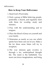deliverance.

# **How to Keep Your Deliverance**

- 1. Read God's Word daily.
- 2. Find a group of Bible believing people, preferably a church, and regularly meet with them for worship, study and ministry.
- 3. Pray with the understanding and in tongues.
- 4. Place the blood of Jesus on yourself and your family.
- 5. Determine as nearly as you can which spirits have been cast out of you. Make a list for these areas Satan will try to recapture.
- 6. The way demons gain re-entry is through a lax, undisciplined thought life. The mind is the battlefield. You must cast down imaginations, and bring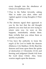every thought into the obedience of Christ (2 Corinthians 10:5).

- 7. Pray to the Father fervently, asking Him to make you alert, sober and vigilant against wrong thoughts (1 Peter 5:8,9).
- 8. The demons signal their approach to you by the fact that the old thought patterns you once had are now trying to return unto you. As soon as this happens, immediately rebuke them. State *verbally* that you refuse them as quickly as possible.
- 9. You have the authority to loose the *angels of the Lord* to battle the demons (Hebrews 1:14; Matthew 18:18). Bind the demons and loose upon them the spirits of destruction (1 Chronicles 21:12) and burning and judgment (Isaiah 4:4) from the Lord Jesus Christ. Also, loose warrior angels upon the demons.